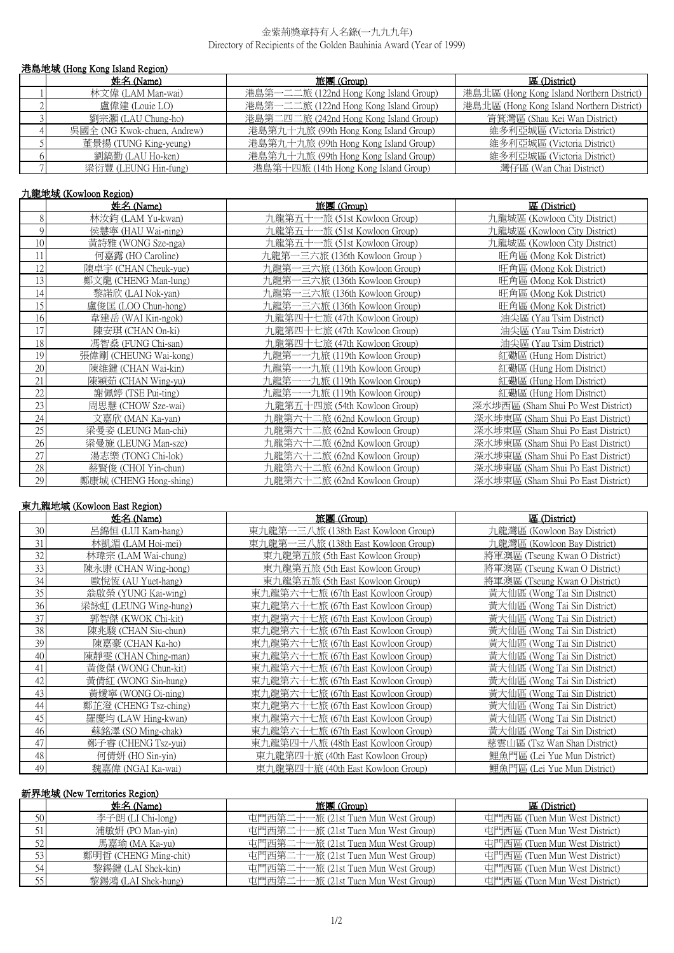### 金紫荊獎章持有人名錄(一九九九年) Directory of Recipients of the Golden Bauhinia Award (Year of 1999)

| 港島地域 (Hong Kong Island Region) |                             |                                        |                                           |
|--------------------------------|-----------------------------|----------------------------------------|-------------------------------------------|
|                                | 姓名 (Name)                   | 旅團 (Group)                             | 區 (District)                              |
|                                | 林文偉 (LAM Man-wai)           | 港島第一二二旅 (122nd Hong Kong Island Group) | 港島北區 (Hong Kong Island Northern District) |
|                                | 盧偉建 (Louie LO)              | 港島第一二二旅 (122nd Hong Kong Island Group) | 港島北區 (Hong Kong Island Northern District) |
|                                | 劉宗灝 (LAU Chung-ho)          | 港島第二四二旅 (242nd Hong Kong Island Group) | 筲箕灣區 (Shau Kei Wan District)              |
|                                | 吳國全 (NG Kwok-chuen, Andrew) | 港島第九十九旅 (99th Hong Kong Island Group)  | 維多利亞城區 (Victoria District)                |
|                                | 董景揚 (TUNG King-yeung)       | 港島第九十九旅 (99th Hong Kong Island Group)  | 維多利亞城區 (Victoria District)                |
|                                | 劉鎬勤 (LAU Ho-ken)            | 港島第九十九旅 (99th Hong Kong Island Group)  | 維多利亞城區 (Victoria District)                |
|                                | 梁衍豐 (LEUNG Hin-fung)        | 港島第十四旅 (14th Hong Kong Island Group)   | 灣仔區 (Wan Chai District)                   |

# 九龍地域 (Kowloon Region)

|    | 姓名 (Name)              | 旅團 (Group)                     | 區 (District)                       |  |
|----|------------------------|--------------------------------|------------------------------------|--|
| 8  | 林汝鈞 (LAM Yu-kwan)      | 九龍第五十一旅 (51st Kowloon Group)   | 九龍城區 (Kowloon City District)       |  |
| 9  | 侯慧寧 (HAU Wai-ning)     | 九龍第五十一旅 (51st Kowloon Group)   | 九龍城區 (Kowloon City District)       |  |
| 10 | 黃詩雅 (WONG Sze-nga)     | 九龍第五十一旅 (51st Kowloon Group)   | 九龍城區 (Kowloon City District)       |  |
| 11 | 何嘉露 (HO Caroline)      | 九龍第一三六旅 (136th Kowloon Group ) | 旺角區 (Mong Kok District)            |  |
| 12 | 陳卓宇 (CHAN Cheuk-yue)   | 九龍第一三六旅 (136th Kowloon Group)  | 旺角區 (Mong Kok District)            |  |
| 13 | 鄭文龍 (CHENG Man-lung)   | 九龍第一三六旅 (136th Kowloon Group)  | 旺角區 (Mong Kok District)            |  |
| 14 | 黎諾欣 (LAI Nok-yan)      | 九龍第一三六旅 (136th Kowloon Group)  | 旺角區 (Mong Kok District)            |  |
| 15 | 盧俊匡 (LOO Chun-hong)    | 九龍第一三六旅 (136th Kowloon Group)  | 旺角區 (Mong Kok District)            |  |
| 16 | 韋建岳 (WAI Kin-ngok)     | 九龍第四十七旅 (47th Kowloon Group)   | 油尖區 (Yau Tsim District)            |  |
| 17 | 陳安琪 (CHAN On-ki)       | 九龍第四十七旅 (47th Kowloon Group)   | 油尖區 (Yau Tsim District)            |  |
| 18 | 馮智燊 (FUNG Chi-san)     | 九龍第四十七旅 (47th Kowloon Group)   | 油尖區 (Yau Tsim District)            |  |
| 19 | 張偉剛 (CHEUNG Wai-kong)  | 九龍第一一九旅 (119th Kowloon Group)  | 紅磡區 (Hung Hom District)            |  |
| 20 | 陳維鍵 (CHAN Wai-kin)     | 九龍第一一九旅 (119th Kowloon Group)  | 紅磡區 (Hung Hom District)            |  |
| 21 | 陳穎茹 (CHAN Wing-yu)     | 九龍第一一九旅 (119th Kowloon Group)  | 紅磡區 (Hung Hom District)            |  |
| 22 | 謝佩婷 (TSE Pui-ting)     | 九龍第一一九旅 (119th Kowloon Group)  | 紅磡區 (Hung Hom District)            |  |
| 23 | 周思慧 (CHOW Sze-wai)     | 九龍第五十四旅 (54th Kowloon Group)   | 深水埗西區 (Sham Shui Po West District) |  |
| 24 | 文嘉欣 (MAN Ka-yan)       | 九龍第六十二旅 (62nd Kowloon Group)   | 深水埗東區 (Sham Shui Po East District) |  |
| 25 | 梁曼姿 (LEUNG Man-chi)    | 九龍第六十二旅 (62nd Kowloon Group)   | 深水埗東區 (Sham Shui Po East District) |  |
| 26 | 梁曼施 (LEUNG Man-sze)    | 九龍第六十二旅 (62nd Kowloon Group)   | 深水埗東區 (Sham Shui Po East District) |  |
| 27 | 湯志樂 (TONG Chi-lok)     | 九龍第六十二旅 (62nd Kowloon Group)   | 深水埗東區 (Sham Shui Po East District) |  |
| 28 | 蔡賢俊 (CHOI Yin-chun)    | 九龍第六十二旅 (62nd Kowloon Group)   | 深水埗東區 (Sham Shui Po East District) |  |
| 29 | 鄭康城 (CHENG Hong-shing) | 九龍第六十二旅 (62nd Kowloon Group)   | 深水埗東區 (Sham Shui Po East District) |  |

## 東九龍地域 (Kowloon East Region)

|    | 姓名 (Name)             | 旅團 (Group)                          | 區 (District)                  |
|----|-----------------------|-------------------------------------|-------------------------------|
| 30 | 呂錦恒 (LUI Kam-hang)    | 東九龍第一三八旅 (138th East Kowloon Group) | 九龍灣區 (Kowloon Bay District)   |
| 31 | 林凱湄 (LAM Hoi-mei)     | 東九龍第一三八旅 (138th East Kowloon Group) | 九龍灣區 (Kowloon Bay District)   |
| 32 | 林瑋宗 (LAM Wai-chung)   | 東九龍第五旅 (5th East Kowloon Group)     | 將軍澳區 (Tseung Kwan O District) |
| 33 | 陳永康 (CHAN Wing-hong)  | 東九龍第五旅 (5th East Kowloon Group)     | 將軍澳區 (Tseung Kwan O District) |
| 34 | 歐悅恆 (AU Yuet-hang)    | 東九龍第五旅 (5th East Kowloon Group)     | 將軍澳區 (Tseung Kwan O District) |
| 35 | 翁啟榮 (YUNG Kai-wing)   | 東九龍第六十七旅 (67th East Kowloon Group)  | 黃大仙區 (Wong Tai Sin District)  |
| 36 | 梁詠虹 (LEUNG Wing-hung) | 東九龍第六十七旅 (67th East Kowloon Group)  | 黃大仙區 (Wong Tai Sin District)  |
| 37 | 郭智傑 (KWOK Chi-kit)    | 東九龍第六十七旅 (67th East Kowloon Group)  | 黃大仙區 (Wong Tai Sin District)  |
| 38 | 陳兆駿 (CHAN Siu-chun)   | 東九龍第六十七旅 (67th East Kowloon Group)  | 黃大仙區 (Wong Tai Sin District)  |
| 39 | 陳嘉豪 (CHAN Ka-ho)      | 東九龍第六十七旅 (67th East Kowloon Group)  | 黃大仙區 (Wong Tai Sin District)  |
| 40 | 陳靜雯 (CHAN Ching-man)  | 東九龍第六十七旅 (67th East Kowloon Group)  | 黃大仙區 (Wong Tai Sin District)  |
| 41 | 黃俊傑 (WONG Chun-kit)   | 東九龍第六十七旅 (67th East Kowloon Group)  | 黃大仙區 (Wong Tai Sin District)  |
| 42 | 黃倩紅 (WONG Sin-hung)   | 東九龍第六十七旅 (67th East Kowloon Group)  | 黃大仙區 (Wong Tai Sin District)  |
| 43 | 黃嬡寧 (WONG Oi-ning)    | 東九龍第六十七旅 (67th East Kowloon Group)  | 黃大仙區 (Wong Tai Sin District)  |
| 44 | 鄭芷澄 (CHENG Tsz-ching) | 東九龍第六十七旅 (67th East Kowloon Group)  | 黃大仙區 (Wong Tai Sin District)  |
| 45 | 羅慶均 (LAW Hing-kwan)   | 東九龍第六十七旅 (67th East Kowloon Group)  | 黃大仙區 (Wong Tai Sin District)  |
| 46 | 蘇銘澤 (SO Ming-chak)    | 東九龍第六十七旅 (67th East Kowloon Group)  | 黃大仙區 (Wong Tai Sin District)  |
| 47 | 鄭子睿 (CHENG Tsz-yui)   | 東九龍第四十八旅 (48th East Kowloon Group)  | 慈雲山區 (Tsz Wan Shan District)  |
| 48 | 何倩妍 (HO Sin-yin)      | 東九龍第四十旅 (40th East Kowloon Group)   | 鯉魚門區 (Lei Yue Mun District)   |
| 49 | 魏嘉偉 (NGAI Ka-wai)     | 東九龍第四十旅 (40th East Kowloon Group)   | 鯉魚門區 (Lei Yue Mun District)   |

## 新界地域 (New Territories Region)

|    | 姓名 (Name)             | 旅團 (Group)                          | 區 (District)                  |
|----|-----------------------|-------------------------------------|-------------------------------|
| 50 | 李子朗(LI Chi-long)      | 屯門西第二十一旅 (21st Tuen Mun West Group) | 屯門西區 (Tuen Mun West District) |
| 51 | 浦敏妍 (PO Man-yin)      | 屯門西第二十一旅 (21st Tuen Mun West Group) | 屯門西區 (Tuen Mun West District) |
| 52 | 馬嘉瑜 (MA Ka-yu)        | 屯門西第二十一旅 (21st Tuen Mun West Group) | 屯門西區 (Tuen Mun West District) |
| 53 | 鄭明哲 (CHENG Ming-chit) | 屯門西第二十一旅 (21st Tuen Mun West Group) | 屯門西區 (Tuen Mun West District) |
| 54 | 黎錫鍵 (LAI Shek-kin)    | 屯門西第二十一旅 (21st Tuen Mun West Group) | 屯門西區 (Tuen Mun West District) |
| 55 | 黎錫鴻 (LAI Shek-hung)   | 屯門西第二十一旅 (21st Tuen Mun West Group) | 屯門西區 (Tuen Mun West District) |